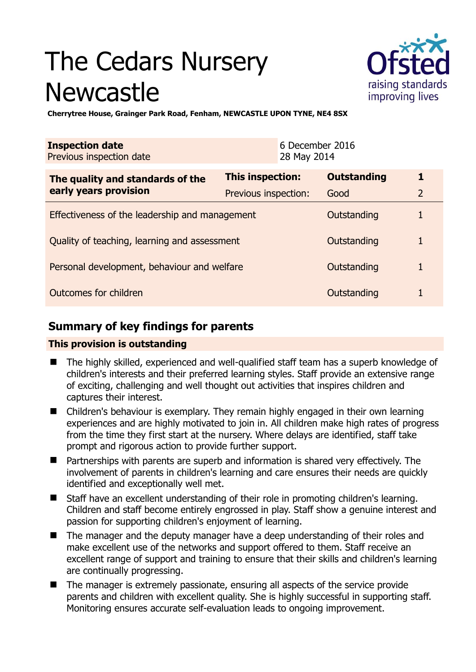# The Cedars Nursery Newcastle



**Cherrytree House, Grainger Park Road, Fenham, NEWCASTLE UPON TYNE, NE4 8SX** 

| <b>Inspection date</b><br>Previous inspection date |                      | 6 December 2016<br>28 May 2014 |                    |                |
|----------------------------------------------------|----------------------|--------------------------------|--------------------|----------------|
| The quality and standards of the                   | This inspection:     |                                | <b>Outstanding</b> | 1              |
| early years provision                              | Previous inspection: |                                | Good               | $\overline{2}$ |
| Effectiveness of the leadership and management     |                      |                                | Outstanding        |                |
| Quality of teaching, learning and assessment       |                      |                                | Outstanding        | 1              |
| Personal development, behaviour and welfare        |                      |                                | Outstanding        |                |
| Outcomes for children                              |                      |                                | Outstanding        |                |

# **Summary of key findings for parents**

## **This provision is outstanding**

- The highly skilled, experienced and well-qualified staff team has a superb knowledge of children's interests and their preferred learning styles. Staff provide an extensive range of exciting, challenging and well thought out activities that inspires children and captures their interest.
- Children's behaviour is exemplary. They remain highly engaged in their own learning experiences and are highly motivated to join in. All children make high rates of progress from the time they first start at the nursery. Where delays are identified, staff take prompt and rigorous action to provide further support.
- Partnerships with parents are superb and information is shared very effectively. The involvement of parents in children's learning and care ensures their needs are quickly identified and exceptionally well met.
- Staff have an excellent understanding of their role in promoting children's learning. Children and staff become entirely engrossed in play. Staff show a genuine interest and passion for supporting children's enjoyment of learning.
- The manager and the deputy manager have a deep understanding of their roles and make excellent use of the networks and support offered to them. Staff receive an excellent range of support and training to ensure that their skills and children's learning are continually progressing.
- The manager is extremely passionate, ensuring all aspects of the service provide parents and children with excellent quality. She is highly successful in supporting staff. Monitoring ensures accurate self-evaluation leads to ongoing improvement.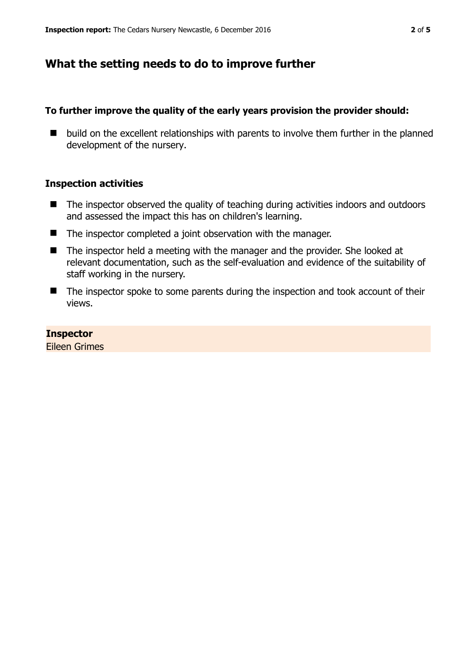## **What the setting needs to do to improve further**

### **To further improve the quality of the early years provision the provider should:**

 $\blacksquare$  build on the excellent relationships with parents to involve them further in the planned development of the nursery.

### **Inspection activities**

- The inspector observed the quality of teaching during activities indoors and outdoors and assessed the impact this has on children's learning.
- The inspector completed a joint observation with the manager.
- The inspector held a meeting with the manager and the provider. She looked at relevant documentation, such as the self-evaluation and evidence of the suitability of staff working in the nursery.
- The inspector spoke to some parents during the inspection and took account of their views.

#### **Inspector**

Eileen Grimes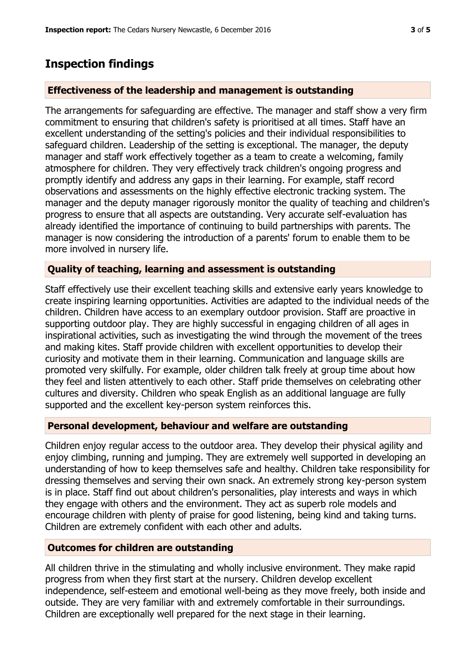## **Inspection findings**

## **Effectiveness of the leadership and management is outstanding**

The arrangements for safeguarding are effective. The manager and staff show a very firm commitment to ensuring that children's safety is prioritised at all times. Staff have an excellent understanding of the setting's policies and their individual responsibilities to safeguard children. Leadership of the setting is exceptional. The manager, the deputy manager and staff work effectively together as a team to create a welcoming, family atmosphere for children. They very effectively track children's ongoing progress and promptly identify and address any gaps in their learning. For example, staff record observations and assessments on the highly effective electronic tracking system. The manager and the deputy manager rigorously monitor the quality of teaching and children's progress to ensure that all aspects are outstanding. Very accurate self-evaluation has already identified the importance of continuing to build partnerships with parents. The manager is now considering the introduction of a parents' forum to enable them to be more involved in nursery life.

## **Quality of teaching, learning and assessment is outstanding**

Staff effectively use their excellent teaching skills and extensive early years knowledge to create inspiring learning opportunities. Activities are adapted to the individual needs of the children. Children have access to an exemplary outdoor provision. Staff are proactive in supporting outdoor play. They are highly successful in engaging children of all ages in inspirational activities, such as investigating the wind through the movement of the trees and making kites. Staff provide children with excellent opportunities to develop their curiosity and motivate them in their learning. Communication and language skills are promoted very skilfully. For example, older children talk freely at group time about how they feel and listen attentively to each other. Staff pride themselves on celebrating other cultures and diversity. Children who speak English as an additional language are fully supported and the excellent key-person system reinforces this.

## **Personal development, behaviour and welfare are outstanding**

Children enjoy regular access to the outdoor area. They develop their physical agility and enjoy climbing, running and jumping. They are extremely well supported in developing an understanding of how to keep themselves safe and healthy. Children take responsibility for dressing themselves and serving their own snack. An extremely strong key-person system is in place. Staff find out about children's personalities, play interests and ways in which they engage with others and the environment. They act as superb role models and encourage children with plenty of praise for good listening, being kind and taking turns. Children are extremely confident with each other and adults.

## **Outcomes for children are outstanding**

All children thrive in the stimulating and wholly inclusive environment. They make rapid progress from when they first start at the nursery. Children develop excellent independence, self-esteem and emotional well-being as they move freely, both inside and outside. They are very familiar with and extremely comfortable in their surroundings. Children are exceptionally well prepared for the next stage in their learning.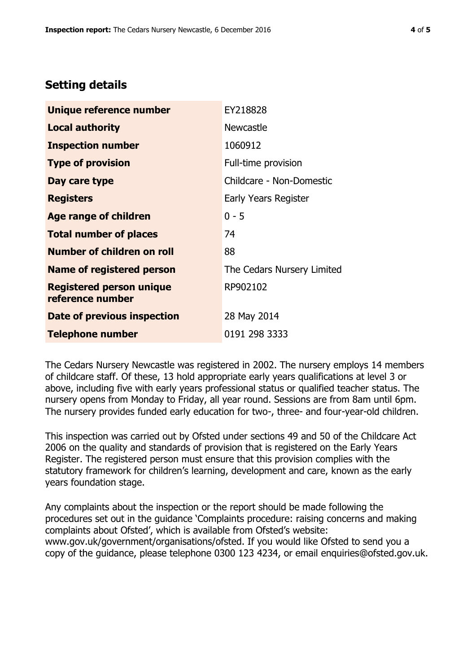## **Setting details**

| Unique reference number                             | EY218828                   |  |  |
|-----------------------------------------------------|----------------------------|--|--|
| <b>Local authority</b>                              | <b>Newcastle</b>           |  |  |
| <b>Inspection number</b>                            | 1060912                    |  |  |
| <b>Type of provision</b>                            | Full-time provision        |  |  |
| Day care type                                       | Childcare - Non-Domestic   |  |  |
| <b>Registers</b>                                    | Early Years Register       |  |  |
| <b>Age range of children</b>                        | $0 - 5$                    |  |  |
| <b>Total number of places</b>                       | 74                         |  |  |
| <b>Number of children on roll</b>                   | 88                         |  |  |
| <b>Name of registered person</b>                    | The Cedars Nursery Limited |  |  |
| <b>Registered person unique</b><br>reference number | RP902102                   |  |  |
| Date of previous inspection                         | 28 May 2014                |  |  |
| <b>Telephone number</b>                             | 0191 298 3333              |  |  |

The Cedars Nursery Newcastle was registered in 2002. The nursery employs 14 members of childcare staff. Of these, 13 hold appropriate early years qualifications at level 3 or above, including five with early years professional status or qualified teacher status. The nursery opens from Monday to Friday, all year round. Sessions are from 8am until 6pm. The nursery provides funded early education for two-, three- and four-year-old children.

This inspection was carried out by Ofsted under sections 49 and 50 of the Childcare Act 2006 on the quality and standards of provision that is registered on the Early Years Register. The registered person must ensure that this provision complies with the statutory framework for children's learning, development and care, known as the early years foundation stage.

Any complaints about the inspection or the report should be made following the procedures set out in the guidance 'Complaints procedure: raising concerns and making complaints about Ofsted', which is available from Ofsted's website: www.gov.uk/government/organisations/ofsted. If you would like Ofsted to send you a copy of the guidance, please telephone 0300 123 4234, or email enquiries@ofsted.gov.uk.